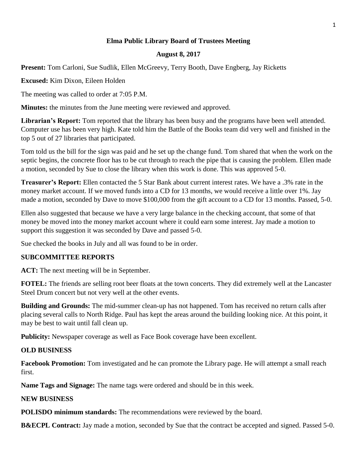## **Elma Public Library Board of Trustees Meeting**

#### **August 8, 2017**

**Present:** Tom Carloni, Sue Sudlik, Ellen McGreevy, Terry Booth, Dave Engberg, Jay Ricketts

**Excused:** Kim Dixon, Eileen Holden

The meeting was called to order at 7:05 P.M.

**Minutes:** the minutes from the June meeting were reviewed and approved.

**Librarian's Report:** Tom reported that the library has been busy and the programs have been well attended. Computer use has been very high. Kate told him the Battle of the Books team did very well and finished in the top 5 out of 27 libraries that participated.

Tom told us the bill for the sign was paid and he set up the change fund. Tom shared that when the work on the septic begins, the concrete floor has to be cut through to reach the pipe that is causing the problem. Ellen made a motion, seconded by Sue to close the library when this work is done. This was approved 5-0.

**Treasurer's Report:** Ellen contacted the 5 Star Bank about current interest rates. We have a .3% rate in the money market account. If we moved funds into a CD for 13 months, we would receive a little over 1%. Jay made a motion, seconded by Dave to move \$100,000 from the gift account to a CD for 13 months. Passed, 5-0.

Ellen also suggested that because we have a very large balance in the checking account, that some of that money be moved into the money market account where it could earn some interest. Jay made a motion to support this suggestion it was seconded by Dave and passed 5-0.

Sue checked the books in July and all was found to be in order.

#### **SUBCOMMITTEE REPORTS**

**ACT:** The next meeting will be in September.

**FOTEL:** The friends are selling root beer floats at the town concerts. They did extremely well at the Lancaster Steel Drum concert but not very well at the other events.

**Building and Grounds:** The mid-summer clean-up has not happened. Tom has received no return calls after placing several calls to North Ridge. Paul has kept the areas around the building looking nice. At this point, it may be best to wait until fall clean up.

**Publicity:** Newspaper coverage as well as Face Book coverage have been excellent.

#### **OLD BUSINESS**

**Facebook Promotion:** Tom investigated and he can promote the Library page. He will attempt a small reach first.

**Name Tags and Signage:** The name tags were ordered and should be in this week.

### **NEW BUSINESS**

**POLISDO minimum standards:** The recommendations were reviewed by the board.

**B&ECPL Contract:** Jay made a motion, seconded by Sue that the contract be accepted and signed. Passed 5-0.